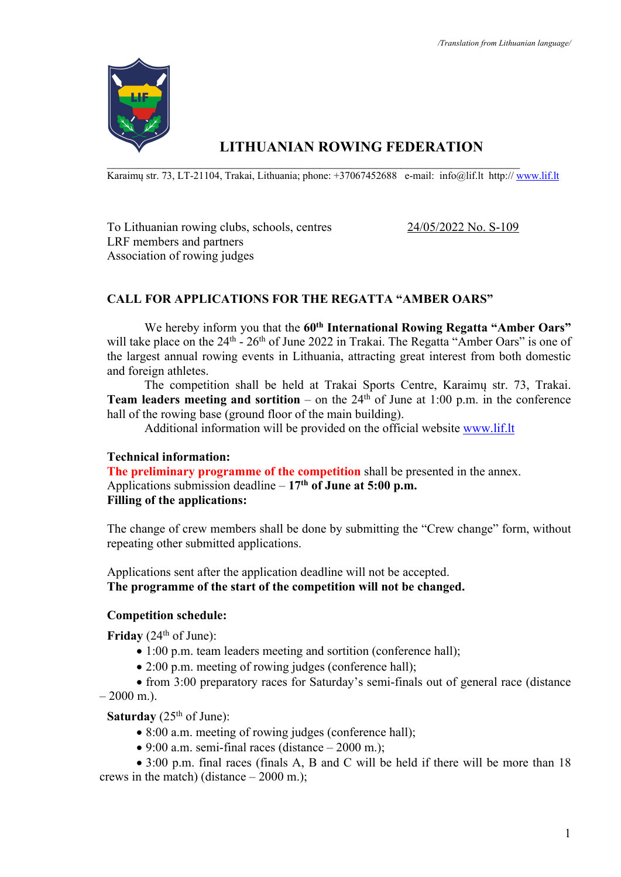

# **LITHUANIAN ROWING FEDERATION**

 $\mathcal{L}_\mathcal{L} = \mathcal{L}_\mathcal{L} = \mathcal{L}_\mathcal{L} = \mathcal{L}_\mathcal{L} = \mathcal{L}_\mathcal{L} = \mathcal{L}_\mathcal{L} = \mathcal{L}_\mathcal{L} = \mathcal{L}_\mathcal{L} = \mathcal{L}_\mathcal{L} = \mathcal{L}_\mathcal{L} = \mathcal{L}_\mathcal{L} = \mathcal{L}_\mathcal{L} = \mathcal{L}_\mathcal{L} = \mathcal{L}_\mathcal{L} = \mathcal{L}_\mathcal{L} = \mathcal{L}_\mathcal{L} = \mathcal{L}_\mathcal{L}$ Karaimų str. 73, LT-21104, Trakai, Lithuania; phone: +37067452688 e-mail: info@lif.lt http:// www.lif.lt

To Lithuanian rowing clubs, schools, centres 24/05/2022 No. S-109 LRF members and partners Association of rowing judges

## **CALL FOR APPLICATIONS FOR THE REGATTA "AMBER OARS"**

We hereby inform you that the 60<sup>th</sup> **International Rowing Regatta "Amber Oars"** will take place on the  $24<sup>th</sup>$  -  $26<sup>th</sup>$  of June 2022 in Trakai. The Regatta "Amber Oars" is one of the largest annual rowing events in Lithuania, attracting great interest from both domestic and foreign athletes.

The competition shall be held at Trakai Sports Centre, Karaimų str. 73, Trakai. **Team leaders meeting and sortition** – on the  $24<sup>th</sup>$  of June at 1:00 p.m. in the conference hall of the rowing base (ground floor of the main building).

Additional information will be provided on the official website www.lif.lt

#### **Technical information:**

**The preliminary programme of the competition** shall be presented in the annex. Applications submission deadline – **17th of June at 5:00 p.m. Filling of the applications:** 

The change of crew members shall be done by submitting the "Crew change" form, without repeating other submitted applications.

Applications sent after the application deadline will not be accepted. **The programme of the start of the competition will not be changed.**

#### **Competition schedule:**

**Friday** (24<sup>th</sup> of June):

- 1:00 p.m. team leaders meeting and sortition (conference hall);
- 2:00 p.m. meeting of rowing judges (conference hall);

• from 3:00 preparatory races for Saturday's semi-finals out of general race (distance  $-2000$  m.).

**Saturday** (25<sup>th</sup> of June):

- 8:00 a.m. meeting of rowing judges (conference hall);
- 9:00 a.m. semi-final races (distance  $-2000$  m.);

• 3:00 p.m. final races (finals A, B and C will be held if there will be more than 18 crews in the match) (distance – 2000 m.);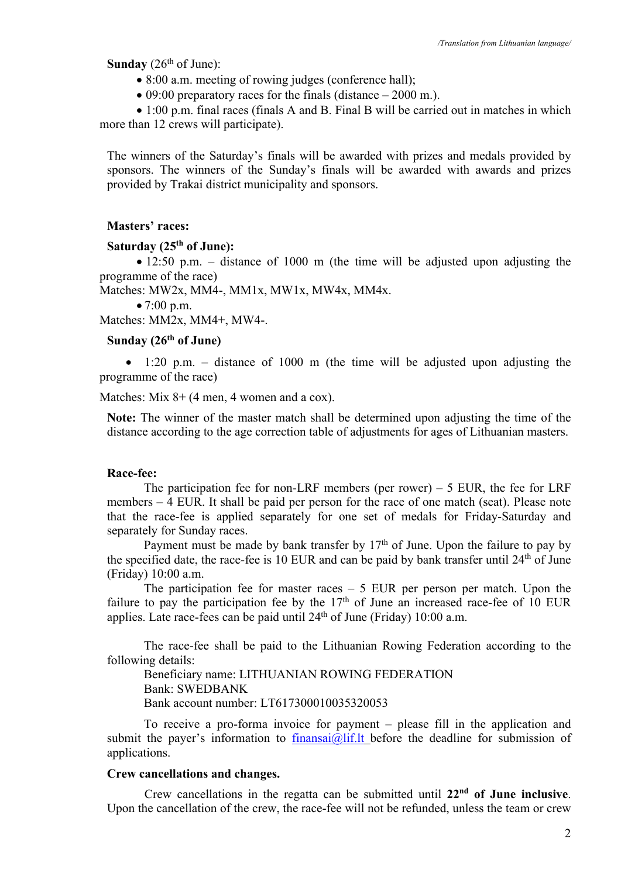**Sunday** ( $26<sup>th</sup>$  of June):

- 8:00 a.m. meeting of rowing judges (conference hall);
- 09:00 preparatory races for the finals (distance  $-2000$  m.).

• 1:00 p.m. final races (finals A and B. Final B will be carried out in matches in which more than 12 crews will participate).

The winners of the Saturday's finals will be awarded with prizes and medals provided by sponsors. The winners of the Sunday's finals will be awarded with awards and prizes provided by Trakai district municipality and sponsors.

#### **Masters' races:**

## **Saturday (25th of June):**

• 12:50 p.m. – distance of 1000 m (the time will be adjusted upon adjusting the programme of the race)

Matches: MW2x, MM4-, MM1x, MW1x, MW4x, MM4x.

• 7:00 p.m.

Matches: MM2x, MM4+, MW4-.

## **Sunday (26th of June)**

• 1:20 p.m. – distance of 1000 m (the time will be adjusted upon adjusting the programme of the race)

Matches: Mix 8+ (4 men, 4 women and a cox).

**Note:** The winner of the master match shall be determined upon adjusting the time of the distance according to the age correction table of adjustments for ages of Lithuanian masters.

#### **Race-fee:**

The participation fee for non-LRF members (per rower) – 5 EUR, the fee for LRF members  $-4$  EUR. It shall be paid per person for the race of one match (seat). Please note that the race-fee is applied separately for one set of medals for Friday-Saturday and separately for Sunday races.

Payment must be made by bank transfer by  $17<sup>th</sup>$  of June. Upon the failure to pay by the specified date, the race-fee is 10 EUR and can be paid by bank transfer until 24<sup>th</sup> of June (Friday) 10:00 a.m.

The participation fee for master races  $-5$  EUR per person per match. Upon the failure to pay the participation fee by the  $17<sup>th</sup>$  of June an increased race-fee of 10 EUR applies. Late race-fees can be paid until  $24<sup>th</sup>$  of June (Friday) 10:00 a.m.

The race-fee shall be paid to the Lithuanian Rowing Federation according to the following details:

Beneficiary name: LITHUANIAN ROWING FEDERATION Bank: SWEDBANK Bank account number: LT617300010035320053

To receive a pro-forma invoice for payment – please fill in the application and submit the payer's information to finansai@lif.lt before the deadline for submission of applications.

#### **Crew cancellations and changes.**

Crew cancellations in the regatta can be submitted until **22nd of June inclusive**. Upon the cancellation of the crew, the race-fee will not be refunded, unless the team or crew